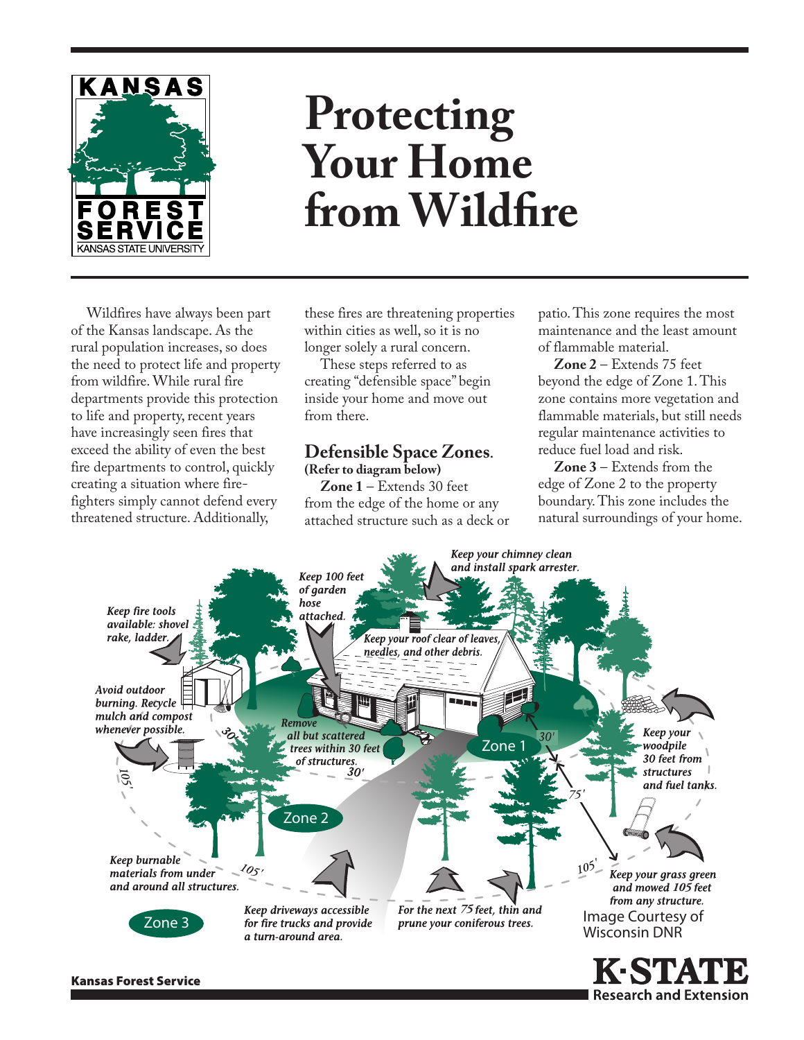

# **Protecting Your Home from Wildfire**

Wildfires have always been part of the Kansas landscape. As the rural population increases, so does the need to protect life and property from wildfire. While rural fire departments provide this protection to life and property, recent years have increasingly seen fires that exceed the ability of even the best fire departments to control, quickly creating a situation where firefighters simply cannot defend every threatened structure. Additionally,

these fires are threatening properties within cities as well, so it is no longer solely a rural concern.

These steps referred to as creating "defensible space" begin inside your home and move out from there.

#### **Defensible Space Zones. (Refer to diagram below)**

**Zone 1** – Extends 30 feet from the edge of the home or any attached structure such as a deck or

patio. This zone requires the most maintenance and the least amount of flammable material.

**Zone 2** – Extends 75 feet beyond the edge of Zone 1. This zone contains more vegetation and flammable materials, but still needs regular maintenance activities to reduce fuel load and risk.

**Zone 3** – Extends from the edge of Zone 2 to the property boundary. This zone includes the natural surroundings of your home.

**I Research and Extension** 



Kansas Forest Service